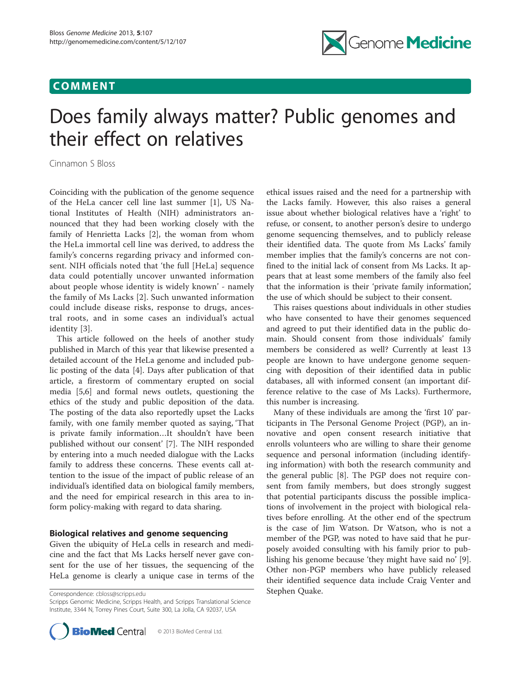## COMMENT



# Does family always matter? Public genomes and their effect on relatives

Cinnamon S Bloss

Coinciding with the publication of the genome sequence of the HeLa cancer cell line last summer [\[1](#page-2-0)], US National Institutes of Health (NIH) administrators announced that they had been working closely with the family of Henrietta Lacks [[2](#page-2-0)], the woman from whom the HeLa immortal cell line was derived, to address the family's concerns regarding privacy and informed consent. NIH officials noted that 'the full [HeLa] sequence data could potentially uncover unwanted information about people whose identity is widely known' - namely the family of Ms Lacks [[2](#page-2-0)]. Such unwanted information could include disease risks, response to drugs, ancestral roots, and in some cases an individual's actual identity [[3](#page-2-0)].

This article followed on the heels of another study published in March of this year that likewise presented a detailed account of the HeLa genome and included public posting of the data [[4\]](#page-2-0). Days after publication of that article, a firestorm of commentary erupted on social media [\[5,6](#page-2-0)] and formal news outlets, questioning the ethics of the study and public deposition of the data. The posting of the data also reportedly upset the Lacks family, with one family member quoted as saying, 'That is private family information…It shouldn't have been published without our consent' [[7\]](#page-2-0). The NIH responded by entering into a much needed dialogue with the Lacks family to address these concerns. These events call attention to the issue of the impact of public release of an individual's identified data on biological family members, and the need for empirical research in this area to inform policy-making with regard to data sharing.

## Biological relatives and genome sequencing

Given the ubiquity of HeLa cells in research and medicine and the fact that Ms Lacks herself never gave consent for the use of her tissues, the sequencing of the HeLa genome is clearly a unique case in terms of the

Stephen Quake. Correspondence: [cbloss@scripps.edu](mailto:cbloss@scripps.edu)

Scripps Genomic Medicine, Scripps Health, and Scripps Translational Science Institute, 3344 N, Torrey Pines Court, Suite 300, La Jolla, CA 92037, USA



ethical issues raised and the need for a partnership with the Lacks family. However, this also raises a general issue about whether biological relatives have a 'right' to refuse, or consent, to another person's desire to undergo genome sequencing themselves, and to publicly release their identified data. The quote from Ms Lacks' family member implies that the family's concerns are not confined to the initial lack of consent from Ms Lacks. It appears that at least some members of the family also feel that the information is their 'private family information', the use of which should be subject to their consent.

This raises questions about individuals in other studies who have consented to have their genomes sequenced and agreed to put their identified data in the public domain. Should consent from those individuals' family members be considered as well? Currently at least 13 people are known to have undergone genome sequencing with deposition of their identified data in public databases, all with informed consent (an important difference relative to the case of Ms Lacks). Furthermore, this number is increasing.

Many of these individuals are among the 'first 10' participants in The Personal Genome Project (PGP), an innovative and open consent research initiative that enrolls volunteers who are willing to share their genome sequence and personal information (including identifying information) with both the research community and the general public [\[8](#page-2-0)]. The PGP does not require consent from family members, but does strongly suggest that potential participants discuss the possible implications of involvement in the project with biological relatives before enrolling. At the other end of the spectrum is the case of Jim Watson. Dr Watson, who is not a member of the PGP, was noted to have said that he purposely avoided consulting with his family prior to publishing his genome because 'they might have said no' [\[9](#page-2-0)]. Other non-PGP members who have publicly released their identified sequence data include Craig Venter and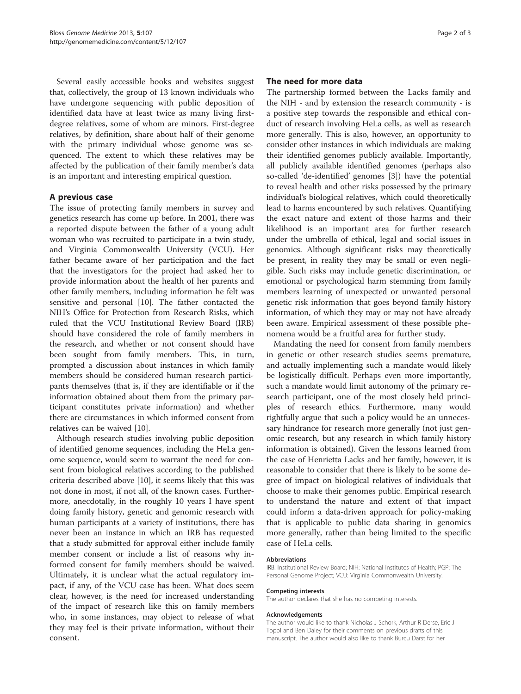Several easily accessible books and websites suggest that, collectively, the group of 13 known individuals who have undergone sequencing with public deposition of identified data have at least twice as many living firstdegree relatives, some of whom are minors. First-degree relatives, by definition, share about half of their genome with the primary individual whose genome was sequenced. The extent to which these relatives may be affected by the publication of their family member's data is an important and interesting empirical question.

## A previous case

The issue of protecting family members in survey and genetics research has come up before. In 2001, there was a reported dispute between the father of a young adult woman who was recruited to participate in a twin study, and Virginia Commonwealth University (VCU). Her father became aware of her participation and the fact that the investigators for the project had asked her to provide information about the health of her parents and other family members, including information he felt was sensitive and personal [[10](#page-2-0)]. The father contacted the NIH's Office for Protection from Research Risks, which ruled that the VCU Institutional Review Board (IRB) should have considered the role of family members in the research, and whether or not consent should have been sought from family members. This, in turn, prompted a discussion about instances in which family members should be considered human research participants themselves (that is, if they are identifiable or if the information obtained about them from the primary participant constitutes private information) and whether there are circumstances in which informed consent from relatives can be waived [[10\]](#page-2-0).

Although research studies involving public deposition of identified genome sequences, including the HeLa genome sequence, would seem to warrant the need for consent from biological relatives according to the published criteria described above [[10\]](#page-2-0), it seems likely that this was not done in most, if not all, of the known cases. Furthermore, anecdotally, in the roughly 10 years I have spent doing family history, genetic and genomic research with human participants at a variety of institutions, there has never been an instance in which an IRB has requested that a study submitted for approval either include family member consent or include a list of reasons why informed consent for family members should be waived. Ultimately, it is unclear what the actual regulatory impact, if any, of the VCU case has been. What does seem clear, however, is the need for increased understanding of the impact of research like this on family members who, in some instances, may object to release of what they may feel is their private information, without their consent.

## The need for more data

The partnership formed between the Lacks family and the NIH - and by extension the research community - is a positive step towards the responsible and ethical conduct of research involving HeLa cells, as well as research more generally. This is also, however, an opportunity to consider other instances in which individuals are making their identified genomes publicly available. Importantly, all publicly available identified genomes (perhaps also so-called 'de-identified' genomes [\[3](#page-2-0)]) have the potential to reveal health and other risks possessed by the primary individual's biological relatives, which could theoretically lead to harms encountered by such relatives. Quantifying the exact nature and extent of those harms and their likelihood is an important area for further research under the umbrella of ethical, legal and social issues in genomics. Although significant risks may theoretically be present, in reality they may be small or even negligible. Such risks may include genetic discrimination, or emotional or psychological harm stemming from family members learning of unexpected or unwanted personal genetic risk information that goes beyond family history information, of which they may or may not have already been aware. Empirical assessment of these possible phenomena would be a fruitful area for further study.

Mandating the need for consent from family members in genetic or other research studies seems premature, and actually implementing such a mandate would likely be logistically difficult. Perhaps even more importantly, such a mandate would limit autonomy of the primary research participant, one of the most closely held principles of research ethics. Furthermore, many would rightfully argue that such a policy would be an unnecessary hindrance for research more generally (not just genomic research, but any research in which family history information is obtained). Given the lessons learned from the case of Henrietta Lacks and her family, however, it is reasonable to consider that there is likely to be some degree of impact on biological relatives of individuals that choose to make their genomes public. Empirical research to understand the nature and extent of that impact could inform a data-driven approach for policy-making that is applicable to public data sharing in genomics more generally, rather than being limited to the specific case of HeLa cells.

#### Abbreviations

IRB: Institutional Review Board; NIH: National Institutes of Health; PGP: The Personal Genome Project; VCU: Virginia Commonwealth University.

#### Competing interests

The author declares that she has no competing interests.

#### Acknowledgements

The author would like to thank Nicholas J Schork, Arthur R Derse, Eric J Topol and Ben Daley for their comments on previous drafts of this manuscript. The author would also like to thank Burcu Darst for her